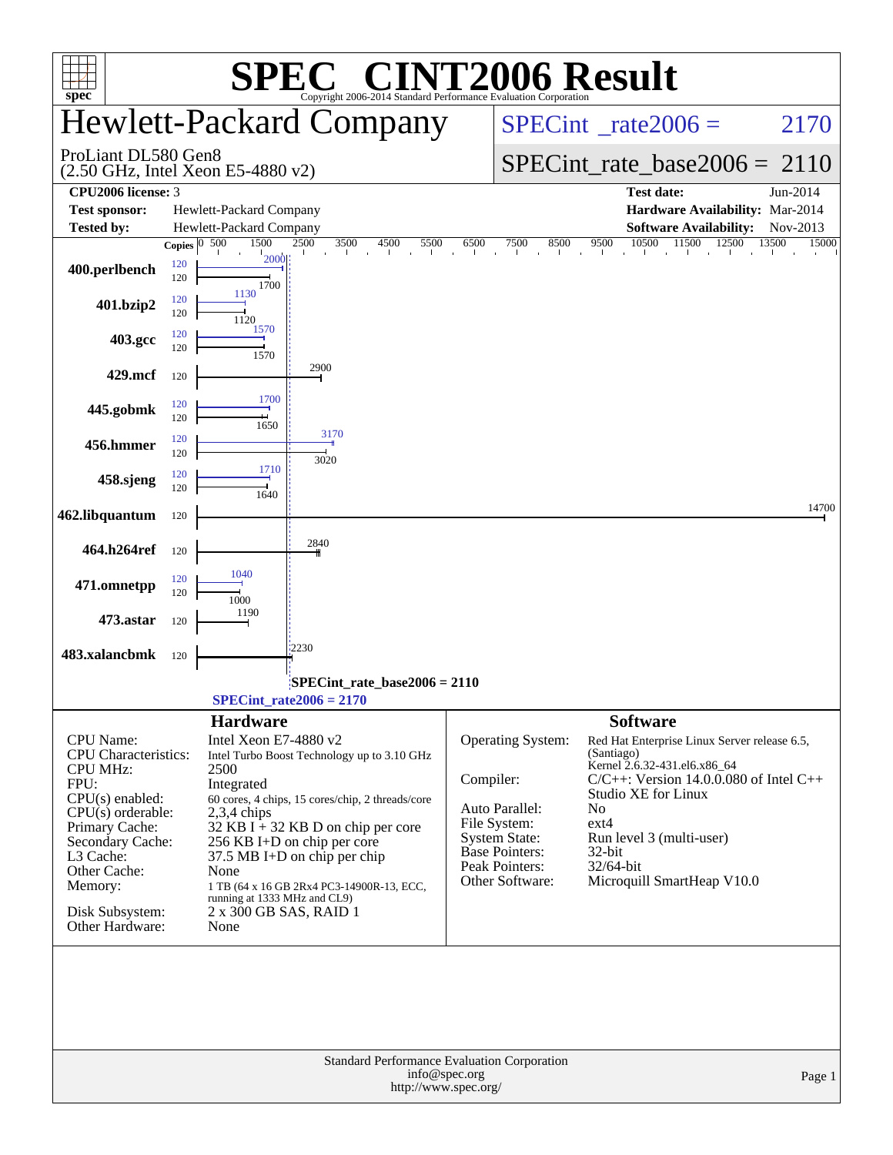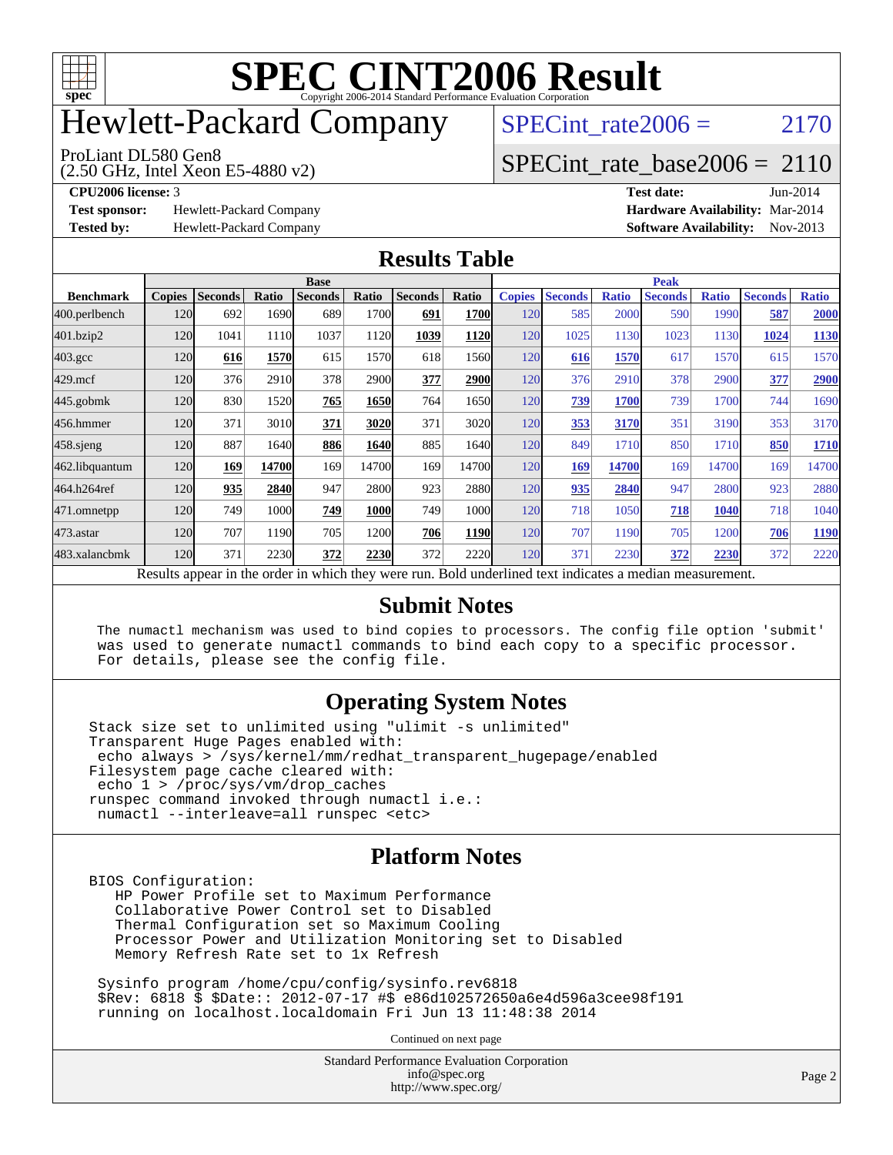

# Hewlett-Packard Company

ProLiant DL580 Gen8

SPECint rate $2006 = 2170$ 

### [SPECint\\_rate\\_base2006 =](http://www.spec.org/auto/cpu2006/Docs/result-fields.html#SPECintratebase2006) 2110

(2.50 GHz, Intel Xeon E5-4880 v2)

**[Test sponsor:](http://www.spec.org/auto/cpu2006/Docs/result-fields.html#Testsponsor)** Hewlett-Packard Company **[Hardware Availability:](http://www.spec.org/auto/cpu2006/Docs/result-fields.html#HardwareAvailability)** Mar-2014

**[CPU2006 license:](http://www.spec.org/auto/cpu2006/Docs/result-fields.html#CPU2006license)** 3 **[Test date:](http://www.spec.org/auto/cpu2006/Docs/result-fields.html#Testdate)** Jun-2014 **[Tested by:](http://www.spec.org/auto/cpu2006/Docs/result-fields.html#Testedby)** Hewlett-Packard Company **[Software Availability:](http://www.spec.org/auto/cpu2006/Docs/result-fields.html#SoftwareAvailability)** Nov-2013

#### **[Results Table](http://www.spec.org/auto/cpu2006/Docs/result-fields.html#ResultsTable)**

|                  | <b>Base</b>   |                |       |                |             |                                                                                                          |             | <b>Peak</b>   |                |              |                |              |                |              |
|------------------|---------------|----------------|-------|----------------|-------------|----------------------------------------------------------------------------------------------------------|-------------|---------------|----------------|--------------|----------------|--------------|----------------|--------------|
| <b>Benchmark</b> | <b>Copies</b> | <b>Seconds</b> | Ratio | <b>Seconds</b> | Ratio       | <b>Seconds</b>                                                                                           | Ratio       | <b>Copies</b> | <b>Seconds</b> | <b>Ratio</b> | <b>Seconds</b> | <b>Ratio</b> | <b>Seconds</b> | <b>Ratio</b> |
| 400.perlbench    | 120           | 692            | 1690  | 689            | 1700        | 691                                                                                                      | <b>1700</b> | 120           | 585            | 2000         | 590            | 1990         | 587            | 2000         |
| 401.bzip2        | 120           | 1041           | 1110  | 1037           | 1120        | 1039                                                                                                     | 1120        | 120           | 1025           | 1130         | 1023           | 1130         | 1024           | <b>1130</b>  |
| $403.\text{gcc}$ | 120           | 616            | 1570  | 615            | 1570        | 618                                                                                                      | 1560        | 120           | 616            | 1570         | 617            | 1570         | 615            | 1570         |
| $429$ .mcf       | 120           | 376            | 2910  | 378            | 2900        | 377                                                                                                      | 2900        | 120           | 376            | 2910         | 378            | 2900         | 377            | 2900         |
| $445$ .gobmk     | 120           | 830            | 1520  | 765            | 1650        | 764                                                                                                      | 1650        | 120           | <u>739</u>     | 1700         | 739            | 1700         | 744            | 1690         |
| 456.hmmer        | 120           | 371            | 3010  | 371            | 3020        | 371                                                                                                      | 3020        | 120           | 353            | 3170         | 351            | 3190         | 353            | 3170         |
| $458$ .sjeng     | 120           | 887            | 1640  | 886            | 1640        | 885                                                                                                      | 1640        | 120           | 849            | 1710         | 850            | 1710         | 850            | 1710         |
| 462.libquantum   | 120           | 169            | 14700 | 169            | 14700       | 169                                                                                                      | 14700       | 120           | 169            | 14700        | 169            | 14700        | 169            | 14700        |
| 464.h264ref      | 120           | 935            | 2840  | 947            | 2800        | 923                                                                                                      | 2880        | 120           | 935            | 2840         | 947            | 2800         | 923            | 2880         |
| 471.omnetpp      | 120           | 749            | 1000  | 749            | <b>1000</b> | 749                                                                                                      | 1000        | 120           | 718            | 1050         | 718            | 1040         | 718            | 1040         |
| $473$ . astar    | 120           | 707            | 1190  | 705            | 1200        | 706                                                                                                      | 1190        | 120           | 707            | 1190         | 705            | 1200         | 706            | 1190         |
| 483.xalancbmk    | 120           | 371            | 2230  | 372            | 2230        | 372                                                                                                      | 2220        | 120           | 371            | 2230         | 372            | 2230         | 372            | 2220         |
|                  |               |                |       |                |             | Results appear in the order in which they were run. Bold underlined text indicates a median measurement. |             |               |                |              |                |              |                |              |

#### **[Submit Notes](http://www.spec.org/auto/cpu2006/Docs/result-fields.html#SubmitNotes)**

 The numactl mechanism was used to bind copies to processors. The config file option 'submit' was used to generate numactl commands to bind each copy to a specific processor. For details, please see the config file.

#### **[Operating System Notes](http://www.spec.org/auto/cpu2006/Docs/result-fields.html#OperatingSystemNotes)**

Stack size set to unlimited using "ulimit -s unlimited" Transparent Huge Pages enabled with: echo always > /sys/kernel/mm/redhat\_transparent\_hugepage/enabled Filesystem page cache cleared with: echo 1 > /proc/sys/vm/drop\_caches runspec command invoked through numactl i.e.: numactl --interleave=all runspec <etc>

#### **[Platform Notes](http://www.spec.org/auto/cpu2006/Docs/result-fields.html#PlatformNotes)**

BIOS Configuration:

 HP Power Profile set to Maximum Performance Collaborative Power Control set to Disabled Thermal Configuration set so Maximum Cooling Processor Power and Utilization Monitoring set to Disabled Memory Refresh Rate set to 1x Refresh

 Sysinfo program /home/cpu/config/sysinfo.rev6818 \$Rev: 6818 \$ \$Date:: 2012-07-17 #\$ e86d102572650a6e4d596a3cee98f191 running on localhost.localdomain Fri Jun 13 11:48:38 2014

Continued on next page

Standard Performance Evaluation Corporation [info@spec.org](mailto:info@spec.org) <http://www.spec.org/>

Page 2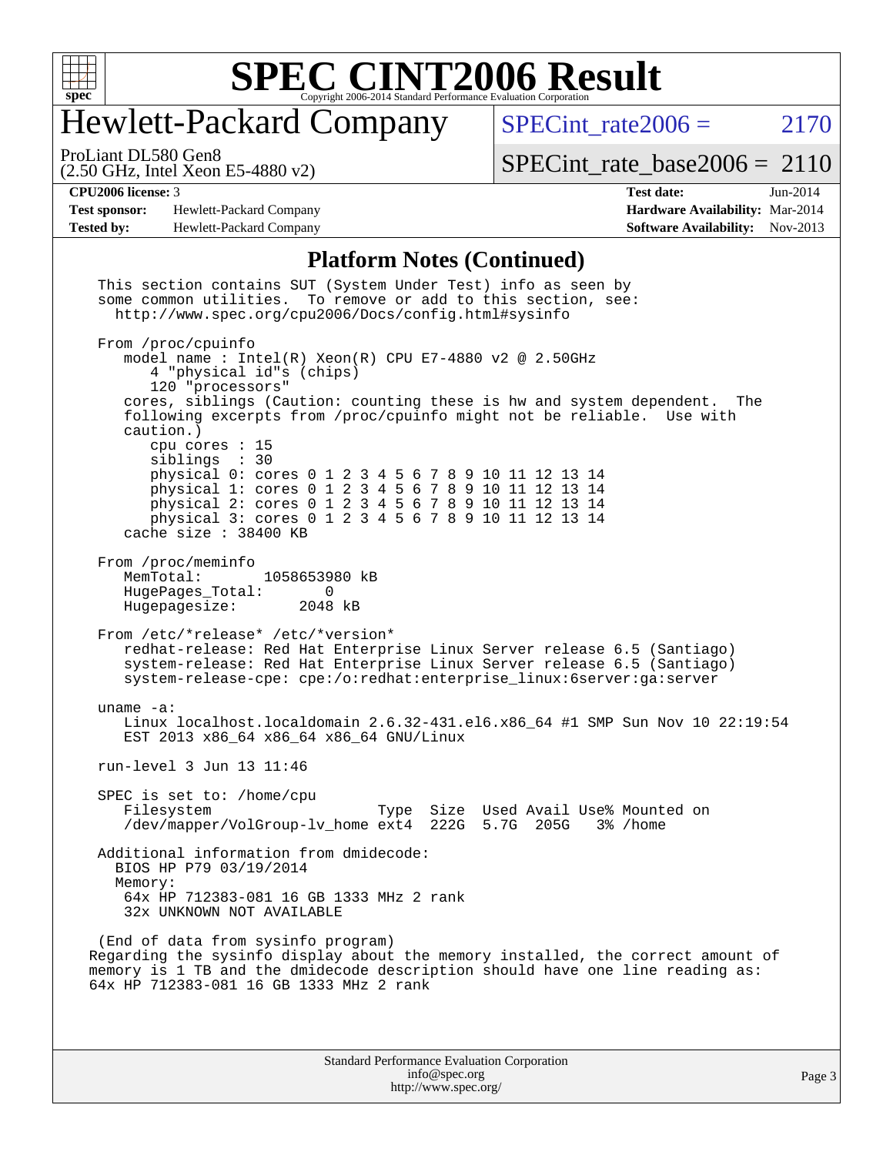

## Hewlett-Packard Company

SPECint rate $2006 = 2170$ 

(2.50 GHz, Intel Xeon E5-4880 v2) ProLiant DL580 Gen8

[SPECint\\_rate\\_base2006 =](http://www.spec.org/auto/cpu2006/Docs/result-fields.html#SPECintratebase2006) 2110

**[Test sponsor:](http://www.spec.org/auto/cpu2006/Docs/result-fields.html#Testsponsor)** Hewlett-Packard Company **[Hardware Availability:](http://www.spec.org/auto/cpu2006/Docs/result-fields.html#HardwareAvailability)** Mar-2014 **[Tested by:](http://www.spec.org/auto/cpu2006/Docs/result-fields.html#Testedby)** Hewlett-Packard Company **[Software Availability:](http://www.spec.org/auto/cpu2006/Docs/result-fields.html#SoftwareAvailability)** Nov-2013

**[CPU2006 license:](http://www.spec.org/auto/cpu2006/Docs/result-fields.html#CPU2006license)** 3 **[Test date:](http://www.spec.org/auto/cpu2006/Docs/result-fields.html#Testdate)** Jun-2014

#### **[Platform Notes \(Continued\)](http://www.spec.org/auto/cpu2006/Docs/result-fields.html#PlatformNotes)**

Standard Performance Evaluation Corporation This section contains SUT (System Under Test) info as seen by some common utilities. To remove or add to this section, see: <http://www.spec.org/cpu2006/Docs/config.html#sysinfo> From /proc/cpuinfo model name : Intel(R) Xeon(R) CPU E7-4880 v2 @ 2.50GHz 4 "physical id"s (chips) 120 "processors" cores, siblings (Caution: counting these is hw and system dependent. The following excerpts from /proc/cpuinfo might not be reliable. Use with caution.) cpu cores : 15 siblings : 30 physical 0: cores 0 1 2 3 4 5 6 7 8 9 10 11 12 13 14 physical 1: cores 0 1 2 3 4 5 6 7 8 9 10 11 12 13 14 physical 2: cores 0 1 2 3 4 5 6 7 8 9 10 11 12 13 14 physical 3: cores 0 1 2 3 4 5 6 7 8 9 10 11 12 13 14 cache size : 38400 KB From /proc/meminfo MemTotal: 1058653980 kB HugePages\_Total: 0<br>Hugepagesize: 2048 kB Hugepagesize: From /etc/\*release\* /etc/\*version\* redhat-release: Red Hat Enterprise Linux Server release 6.5 (Santiago) system-release: Red Hat Enterprise Linux Server release 6.5 (Santiago) system-release-cpe: cpe:/o:redhat:enterprise\_linux:6server:ga:server uname -a: Linux localhost.localdomain 2.6.32-431.el6.x86\_64 #1 SMP Sun Nov 10 22:19:54 EST 2013 x86\_64 x86\_64 x86\_64 GNU/Linux run-level 3 Jun 13 11:46 SPEC is set to: /home/cpu Filesystem Type Size Used Avail Use% Mounted on /dev/mapper/VolGroup-lv\_home ext4 222G 5.7G 205G 3% /home Additional information from dmidecode: BIOS HP P79 03/19/2014 Memory: 64x HP 712383-081 16 GB 1333 MHz 2 rank 32x UNKNOWN NOT AVAILABLE (End of data from sysinfo program) Regarding the sysinfo display about the memory installed, the correct amount of memory is 1 TB and the dmidecode description should have one line reading as: 64x HP 712383-081 16 GB 1333 MHz 2 rank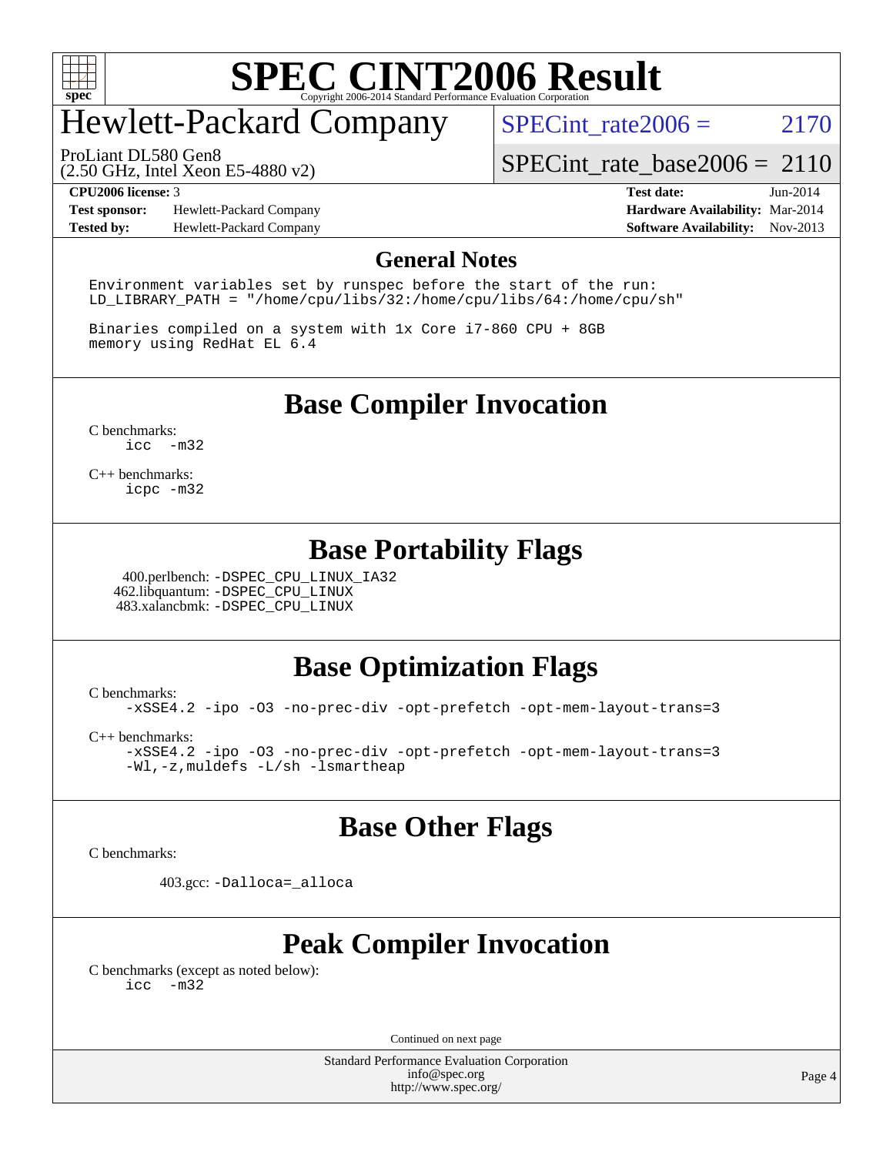

# Hewlett-Packard Company

SPECint rate $2006 = 2170$ 

ProLiant DL580 Gen8

(2.50 GHz, Intel Xeon E5-4880 v2)

[SPECint\\_rate\\_base2006 =](http://www.spec.org/auto/cpu2006/Docs/result-fields.html#SPECintratebase2006) 2110

**[Test sponsor:](http://www.spec.org/auto/cpu2006/Docs/result-fields.html#Testsponsor)** Hewlett-Packard Company **[Hardware Availability:](http://www.spec.org/auto/cpu2006/Docs/result-fields.html#HardwareAvailability)** Mar-2014

**[CPU2006 license:](http://www.spec.org/auto/cpu2006/Docs/result-fields.html#CPU2006license)** 3 **[Test date:](http://www.spec.org/auto/cpu2006/Docs/result-fields.html#Testdate)** Jun-2014 **[Tested by:](http://www.spec.org/auto/cpu2006/Docs/result-fields.html#Testedby)** Hewlett-Packard Company **[Software Availability:](http://www.spec.org/auto/cpu2006/Docs/result-fields.html#SoftwareAvailability)** Nov-2013

#### **[General Notes](http://www.spec.org/auto/cpu2006/Docs/result-fields.html#GeneralNotes)**

Environment variables set by runspec before the start of the run: LD\_LIBRARY\_PATH = "/home/cpu/libs/32:/home/cpu/libs/64:/home/cpu/sh"

Binaries compiled on a system with 1x Core i7-860 CPU + 8GB memory using RedHat EL 6.4

**[Base Compiler Invocation](http://www.spec.org/auto/cpu2006/Docs/result-fields.html#BaseCompilerInvocation)**

[C benchmarks](http://www.spec.org/auto/cpu2006/Docs/result-fields.html#Cbenchmarks): [icc -m32](http://www.spec.org/cpu2006/results/res2014q3/cpu2006-20140616-29912.flags.html#user_CCbase_intel_icc_5ff4a39e364c98233615fdd38438c6f2)

[C++ benchmarks:](http://www.spec.org/auto/cpu2006/Docs/result-fields.html#CXXbenchmarks) [icpc -m32](http://www.spec.org/cpu2006/results/res2014q3/cpu2006-20140616-29912.flags.html#user_CXXbase_intel_icpc_4e5a5ef1a53fd332b3c49e69c3330699)

#### **[Base Portability Flags](http://www.spec.org/auto/cpu2006/Docs/result-fields.html#BasePortabilityFlags)**

 400.perlbench: [-DSPEC\\_CPU\\_LINUX\\_IA32](http://www.spec.org/cpu2006/results/res2014q3/cpu2006-20140616-29912.flags.html#b400.perlbench_baseCPORTABILITY_DSPEC_CPU_LINUX_IA32) 462.libquantum: [-DSPEC\\_CPU\\_LINUX](http://www.spec.org/cpu2006/results/res2014q3/cpu2006-20140616-29912.flags.html#b462.libquantum_baseCPORTABILITY_DSPEC_CPU_LINUX) 483.xalancbmk: [-DSPEC\\_CPU\\_LINUX](http://www.spec.org/cpu2006/results/res2014q3/cpu2006-20140616-29912.flags.html#b483.xalancbmk_baseCXXPORTABILITY_DSPEC_CPU_LINUX)

### **[Base Optimization Flags](http://www.spec.org/auto/cpu2006/Docs/result-fields.html#BaseOptimizationFlags)**

[C benchmarks](http://www.spec.org/auto/cpu2006/Docs/result-fields.html#Cbenchmarks):

[-xSSE4.2](http://www.spec.org/cpu2006/results/res2014q3/cpu2006-20140616-29912.flags.html#user_CCbase_f-xSSE42_f91528193cf0b216347adb8b939d4107) [-ipo](http://www.spec.org/cpu2006/results/res2014q3/cpu2006-20140616-29912.flags.html#user_CCbase_f-ipo) [-O3](http://www.spec.org/cpu2006/results/res2014q3/cpu2006-20140616-29912.flags.html#user_CCbase_f-O3) [-no-prec-div](http://www.spec.org/cpu2006/results/res2014q3/cpu2006-20140616-29912.flags.html#user_CCbase_f-no-prec-div) [-opt-prefetch](http://www.spec.org/cpu2006/results/res2014q3/cpu2006-20140616-29912.flags.html#user_CCbase_f-opt-prefetch) [-opt-mem-layout-trans=3](http://www.spec.org/cpu2006/results/res2014q3/cpu2006-20140616-29912.flags.html#user_CCbase_f-opt-mem-layout-trans_a7b82ad4bd7abf52556d4961a2ae94d5)

[C++ benchmarks:](http://www.spec.org/auto/cpu2006/Docs/result-fields.html#CXXbenchmarks)

[-xSSE4.2](http://www.spec.org/cpu2006/results/res2014q3/cpu2006-20140616-29912.flags.html#user_CXXbase_f-xSSE42_f91528193cf0b216347adb8b939d4107) [-ipo](http://www.spec.org/cpu2006/results/res2014q3/cpu2006-20140616-29912.flags.html#user_CXXbase_f-ipo) [-O3](http://www.spec.org/cpu2006/results/res2014q3/cpu2006-20140616-29912.flags.html#user_CXXbase_f-O3) [-no-prec-div](http://www.spec.org/cpu2006/results/res2014q3/cpu2006-20140616-29912.flags.html#user_CXXbase_f-no-prec-div) [-opt-prefetch](http://www.spec.org/cpu2006/results/res2014q3/cpu2006-20140616-29912.flags.html#user_CXXbase_f-opt-prefetch) [-opt-mem-layout-trans=3](http://www.spec.org/cpu2006/results/res2014q3/cpu2006-20140616-29912.flags.html#user_CXXbase_f-opt-mem-layout-trans_a7b82ad4bd7abf52556d4961a2ae94d5) [-Wl,-z,muldefs](http://www.spec.org/cpu2006/results/res2014q3/cpu2006-20140616-29912.flags.html#user_CXXbase_link_force_multiple1_74079c344b956b9658436fd1b6dd3a8a) [-L/sh -lsmartheap](http://www.spec.org/cpu2006/results/res2014q3/cpu2006-20140616-29912.flags.html#user_CXXbase_SmartHeap_32f6c82aa1ed9c52345d30cf6e4a0499)

#### **[Base Other Flags](http://www.spec.org/auto/cpu2006/Docs/result-fields.html#BaseOtherFlags)**

[C benchmarks](http://www.spec.org/auto/cpu2006/Docs/result-fields.html#Cbenchmarks):

403.gcc: [-Dalloca=\\_alloca](http://www.spec.org/cpu2006/results/res2014q3/cpu2006-20140616-29912.flags.html#b403.gcc_baseEXTRA_CFLAGS_Dalloca_be3056838c12de2578596ca5467af7f3)

### **[Peak Compiler Invocation](http://www.spec.org/auto/cpu2006/Docs/result-fields.html#PeakCompilerInvocation)**

[C benchmarks \(except as noted below\)](http://www.spec.org/auto/cpu2006/Docs/result-fields.html#Cbenchmarksexceptasnotedbelow): [icc -m32](http://www.spec.org/cpu2006/results/res2014q3/cpu2006-20140616-29912.flags.html#user_CCpeak_intel_icc_5ff4a39e364c98233615fdd38438c6f2)

Continued on next page

Standard Performance Evaluation Corporation [info@spec.org](mailto:info@spec.org) <http://www.spec.org/>

Page 4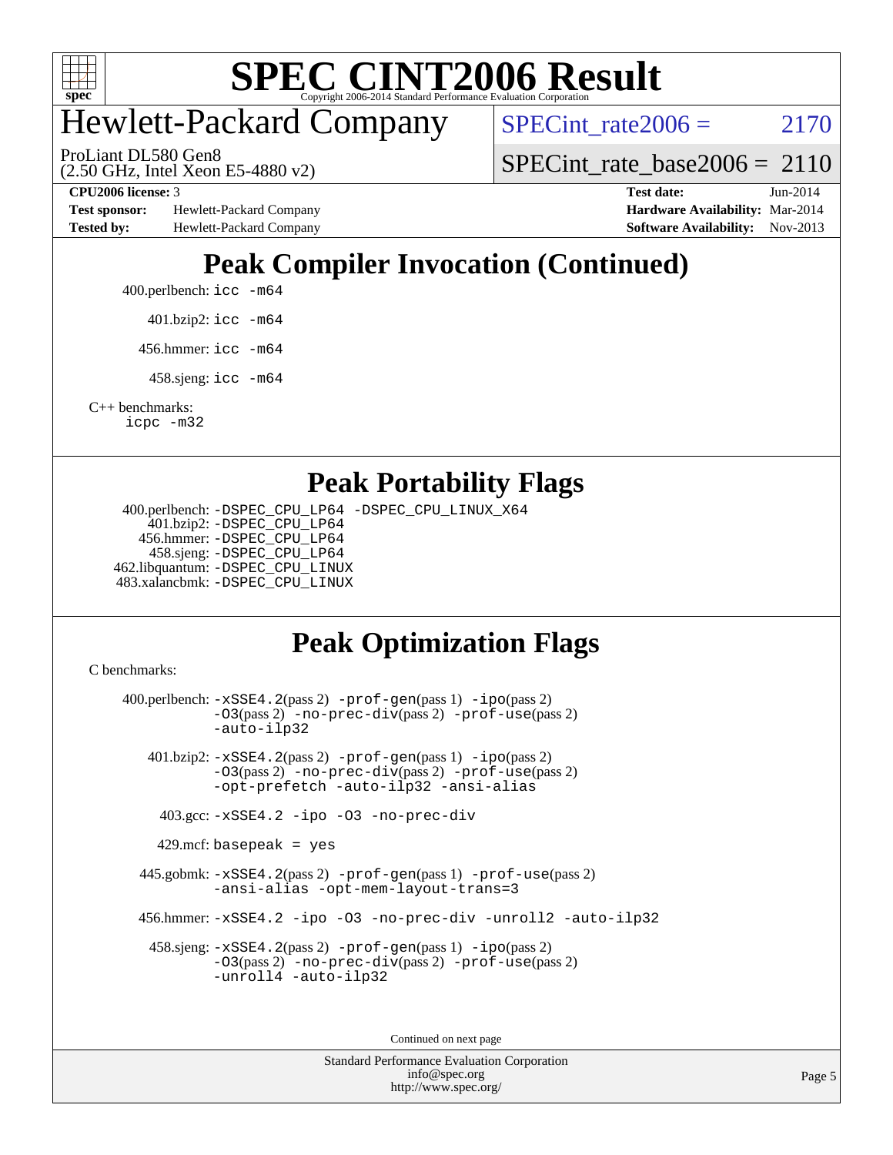

# Hewlett-Packard Company

SPECint rate $2006 = 2170$ 

ProLiant DL580 Gen8

(2.50 GHz, Intel Xeon E5-4880 v2)

**[Test sponsor:](http://www.spec.org/auto/cpu2006/Docs/result-fields.html#Testsponsor)** Hewlett-Packard Company **[Hardware Availability:](http://www.spec.org/auto/cpu2006/Docs/result-fields.html#HardwareAvailability)** Mar-2014 **[Tested by:](http://www.spec.org/auto/cpu2006/Docs/result-fields.html#Testedby)** Hewlett-Packard Company **[Software Availability:](http://www.spec.org/auto/cpu2006/Docs/result-fields.html#SoftwareAvailability)** Nov-2013

[SPECint\\_rate\\_base2006 =](http://www.spec.org/auto/cpu2006/Docs/result-fields.html#SPECintratebase2006) 2110 **[CPU2006 license:](http://www.spec.org/auto/cpu2006/Docs/result-fields.html#CPU2006license)** 3 **[Test date:](http://www.spec.org/auto/cpu2006/Docs/result-fields.html#Testdate)** Jun-2014

# **[Peak Compiler Invocation \(Continued\)](http://www.spec.org/auto/cpu2006/Docs/result-fields.html#PeakCompilerInvocation)**

- 400.perlbench: [icc -m64](http://www.spec.org/cpu2006/results/res2014q3/cpu2006-20140616-29912.flags.html#user_peakCCLD400_perlbench_intel_icc_64bit_bda6cc9af1fdbb0edc3795bac97ada53)
	- 401.bzip2: [icc -m64](http://www.spec.org/cpu2006/results/res2014q3/cpu2006-20140616-29912.flags.html#user_peakCCLD401_bzip2_intel_icc_64bit_bda6cc9af1fdbb0edc3795bac97ada53)
	- 456.hmmer: [icc -m64](http://www.spec.org/cpu2006/results/res2014q3/cpu2006-20140616-29912.flags.html#user_peakCCLD456_hmmer_intel_icc_64bit_bda6cc9af1fdbb0edc3795bac97ada53)
	- 458.sjeng: [icc -m64](http://www.spec.org/cpu2006/results/res2014q3/cpu2006-20140616-29912.flags.html#user_peakCCLD458_sjeng_intel_icc_64bit_bda6cc9af1fdbb0edc3795bac97ada53)

[C++ benchmarks:](http://www.spec.org/auto/cpu2006/Docs/result-fields.html#CXXbenchmarks) [icpc -m32](http://www.spec.org/cpu2006/results/res2014q3/cpu2006-20140616-29912.flags.html#user_CXXpeak_intel_icpc_4e5a5ef1a53fd332b3c49e69c3330699)

#### **[Peak Portability Flags](http://www.spec.org/auto/cpu2006/Docs/result-fields.html#PeakPortabilityFlags)**

 400.perlbench: [-DSPEC\\_CPU\\_LP64](http://www.spec.org/cpu2006/results/res2014q3/cpu2006-20140616-29912.flags.html#b400.perlbench_peakCPORTABILITY_DSPEC_CPU_LP64) [-DSPEC\\_CPU\\_LINUX\\_X64](http://www.spec.org/cpu2006/results/res2014q3/cpu2006-20140616-29912.flags.html#b400.perlbench_peakCPORTABILITY_DSPEC_CPU_LINUX_X64) 401.bzip2: [-DSPEC\\_CPU\\_LP64](http://www.spec.org/cpu2006/results/res2014q3/cpu2006-20140616-29912.flags.html#suite_peakCPORTABILITY401_bzip2_DSPEC_CPU_LP64) 456.hmmer: [-DSPEC\\_CPU\\_LP64](http://www.spec.org/cpu2006/results/res2014q3/cpu2006-20140616-29912.flags.html#suite_peakCPORTABILITY456_hmmer_DSPEC_CPU_LP64) 458.sjeng: [-DSPEC\\_CPU\\_LP64](http://www.spec.org/cpu2006/results/res2014q3/cpu2006-20140616-29912.flags.html#suite_peakCPORTABILITY458_sjeng_DSPEC_CPU_LP64) 462.libquantum: [-DSPEC\\_CPU\\_LINUX](http://www.spec.org/cpu2006/results/res2014q3/cpu2006-20140616-29912.flags.html#b462.libquantum_peakCPORTABILITY_DSPEC_CPU_LINUX) 483.xalancbmk: [-DSPEC\\_CPU\\_LINUX](http://www.spec.org/cpu2006/results/res2014q3/cpu2006-20140616-29912.flags.html#b483.xalancbmk_peakCXXPORTABILITY_DSPEC_CPU_LINUX)

### **[Peak Optimization Flags](http://www.spec.org/auto/cpu2006/Docs/result-fields.html#PeakOptimizationFlags)**

[C benchmarks](http://www.spec.org/auto/cpu2006/Docs/result-fields.html#Cbenchmarks):

 400.perlbench: [-xSSE4.2](http://www.spec.org/cpu2006/results/res2014q3/cpu2006-20140616-29912.flags.html#user_peakPASS2_CFLAGSPASS2_LDCFLAGS400_perlbench_f-xSSE42_f91528193cf0b216347adb8b939d4107)(pass 2) [-prof-gen](http://www.spec.org/cpu2006/results/res2014q3/cpu2006-20140616-29912.flags.html#user_peakPASS1_CFLAGSPASS1_LDCFLAGS400_perlbench_prof_gen_e43856698f6ca7b7e442dfd80e94a8fc)(pass 1) [-ipo](http://www.spec.org/cpu2006/results/res2014q3/cpu2006-20140616-29912.flags.html#user_peakPASS2_CFLAGSPASS2_LDCFLAGS400_perlbench_f-ipo)(pass 2) [-O3](http://www.spec.org/cpu2006/results/res2014q3/cpu2006-20140616-29912.flags.html#user_peakPASS2_CFLAGSPASS2_LDCFLAGS400_perlbench_f-O3)(pass 2) [-no-prec-div](http://www.spec.org/cpu2006/results/res2014q3/cpu2006-20140616-29912.flags.html#user_peakPASS2_CFLAGSPASS2_LDCFLAGS400_perlbench_f-no-prec-div)(pass 2) [-prof-use](http://www.spec.org/cpu2006/results/res2014q3/cpu2006-20140616-29912.flags.html#user_peakPASS2_CFLAGSPASS2_LDCFLAGS400_perlbench_prof_use_bccf7792157ff70d64e32fe3e1250b55)(pass 2) [-auto-ilp32](http://www.spec.org/cpu2006/results/res2014q3/cpu2006-20140616-29912.flags.html#user_peakCOPTIMIZE400_perlbench_f-auto-ilp32) 401.bzip2: [-xSSE4.2](http://www.spec.org/cpu2006/results/res2014q3/cpu2006-20140616-29912.flags.html#user_peakPASS2_CFLAGSPASS2_LDCFLAGS401_bzip2_f-xSSE42_f91528193cf0b216347adb8b939d4107)(pass 2) [-prof-gen](http://www.spec.org/cpu2006/results/res2014q3/cpu2006-20140616-29912.flags.html#user_peakPASS1_CFLAGSPASS1_LDCFLAGS401_bzip2_prof_gen_e43856698f6ca7b7e442dfd80e94a8fc)(pass 1) [-ipo](http://www.spec.org/cpu2006/results/res2014q3/cpu2006-20140616-29912.flags.html#user_peakPASS2_CFLAGSPASS2_LDCFLAGS401_bzip2_f-ipo)(pass 2) [-O3](http://www.spec.org/cpu2006/results/res2014q3/cpu2006-20140616-29912.flags.html#user_peakPASS2_CFLAGSPASS2_LDCFLAGS401_bzip2_f-O3)(pass 2) [-no-prec-div](http://www.spec.org/cpu2006/results/res2014q3/cpu2006-20140616-29912.flags.html#user_peakPASS2_CFLAGSPASS2_LDCFLAGS401_bzip2_f-no-prec-div)(pass 2) [-prof-use](http://www.spec.org/cpu2006/results/res2014q3/cpu2006-20140616-29912.flags.html#user_peakPASS2_CFLAGSPASS2_LDCFLAGS401_bzip2_prof_use_bccf7792157ff70d64e32fe3e1250b55)(pass 2) [-opt-prefetch](http://www.spec.org/cpu2006/results/res2014q3/cpu2006-20140616-29912.flags.html#user_peakCOPTIMIZE401_bzip2_f-opt-prefetch) [-auto-ilp32](http://www.spec.org/cpu2006/results/res2014q3/cpu2006-20140616-29912.flags.html#user_peakCOPTIMIZE401_bzip2_f-auto-ilp32) [-ansi-alias](http://www.spec.org/cpu2006/results/res2014q3/cpu2006-20140616-29912.flags.html#user_peakCOPTIMIZE401_bzip2_f-ansi-alias) 403.gcc: [-xSSE4.2](http://www.spec.org/cpu2006/results/res2014q3/cpu2006-20140616-29912.flags.html#user_peakCOPTIMIZE403_gcc_f-xSSE42_f91528193cf0b216347adb8b939d4107) [-ipo](http://www.spec.org/cpu2006/results/res2014q3/cpu2006-20140616-29912.flags.html#user_peakCOPTIMIZE403_gcc_f-ipo) [-O3](http://www.spec.org/cpu2006/results/res2014q3/cpu2006-20140616-29912.flags.html#user_peakCOPTIMIZE403_gcc_f-O3) [-no-prec-div](http://www.spec.org/cpu2006/results/res2014q3/cpu2006-20140616-29912.flags.html#user_peakCOPTIMIZE403_gcc_f-no-prec-div)  $429$ .mcf: basepeak = yes 445.gobmk: [-xSSE4.2](http://www.spec.org/cpu2006/results/res2014q3/cpu2006-20140616-29912.flags.html#user_peakPASS2_CFLAGSPASS2_LDCFLAGS445_gobmk_f-xSSE42_f91528193cf0b216347adb8b939d4107)(pass 2) [-prof-gen](http://www.spec.org/cpu2006/results/res2014q3/cpu2006-20140616-29912.flags.html#user_peakPASS1_CFLAGSPASS1_LDCFLAGS445_gobmk_prof_gen_e43856698f6ca7b7e442dfd80e94a8fc)(pass 1) [-prof-use](http://www.spec.org/cpu2006/results/res2014q3/cpu2006-20140616-29912.flags.html#user_peakPASS2_CFLAGSPASS2_LDCFLAGS445_gobmk_prof_use_bccf7792157ff70d64e32fe3e1250b55)(pass 2) [-ansi-alias](http://www.spec.org/cpu2006/results/res2014q3/cpu2006-20140616-29912.flags.html#user_peakCOPTIMIZE445_gobmk_f-ansi-alias) [-opt-mem-layout-trans=3](http://www.spec.org/cpu2006/results/res2014q3/cpu2006-20140616-29912.flags.html#user_peakCOPTIMIZE445_gobmk_f-opt-mem-layout-trans_a7b82ad4bd7abf52556d4961a2ae94d5) 456.hmmer: [-xSSE4.2](http://www.spec.org/cpu2006/results/res2014q3/cpu2006-20140616-29912.flags.html#user_peakCOPTIMIZE456_hmmer_f-xSSE42_f91528193cf0b216347adb8b939d4107) [-ipo](http://www.spec.org/cpu2006/results/res2014q3/cpu2006-20140616-29912.flags.html#user_peakCOPTIMIZE456_hmmer_f-ipo) [-O3](http://www.spec.org/cpu2006/results/res2014q3/cpu2006-20140616-29912.flags.html#user_peakCOPTIMIZE456_hmmer_f-O3) [-no-prec-div](http://www.spec.org/cpu2006/results/res2014q3/cpu2006-20140616-29912.flags.html#user_peakCOPTIMIZE456_hmmer_f-no-prec-div) [-unroll2](http://www.spec.org/cpu2006/results/res2014q3/cpu2006-20140616-29912.flags.html#user_peakCOPTIMIZE456_hmmer_f-unroll_784dae83bebfb236979b41d2422d7ec2) [-auto-ilp32](http://www.spec.org/cpu2006/results/res2014q3/cpu2006-20140616-29912.flags.html#user_peakCOPTIMIZE456_hmmer_f-auto-ilp32) 458.sjeng: [-xSSE4.2](http://www.spec.org/cpu2006/results/res2014q3/cpu2006-20140616-29912.flags.html#user_peakPASS2_CFLAGSPASS2_LDCFLAGS458_sjeng_f-xSSE42_f91528193cf0b216347adb8b939d4107)(pass 2) [-prof-gen](http://www.spec.org/cpu2006/results/res2014q3/cpu2006-20140616-29912.flags.html#user_peakPASS1_CFLAGSPASS1_LDCFLAGS458_sjeng_prof_gen_e43856698f6ca7b7e442dfd80e94a8fc)(pass 1) [-ipo](http://www.spec.org/cpu2006/results/res2014q3/cpu2006-20140616-29912.flags.html#user_peakPASS2_CFLAGSPASS2_LDCFLAGS458_sjeng_f-ipo)(pass 2) [-O3](http://www.spec.org/cpu2006/results/res2014q3/cpu2006-20140616-29912.flags.html#user_peakPASS2_CFLAGSPASS2_LDCFLAGS458_sjeng_f-O3)(pass 2) [-no-prec-div](http://www.spec.org/cpu2006/results/res2014q3/cpu2006-20140616-29912.flags.html#user_peakPASS2_CFLAGSPASS2_LDCFLAGS458_sjeng_f-no-prec-div)(pass 2) [-prof-use](http://www.spec.org/cpu2006/results/res2014q3/cpu2006-20140616-29912.flags.html#user_peakPASS2_CFLAGSPASS2_LDCFLAGS458_sjeng_prof_use_bccf7792157ff70d64e32fe3e1250b55)(pass 2) [-unroll4](http://www.spec.org/cpu2006/results/res2014q3/cpu2006-20140616-29912.flags.html#user_peakCOPTIMIZE458_sjeng_f-unroll_4e5e4ed65b7fd20bdcd365bec371b81f) [-auto-ilp32](http://www.spec.org/cpu2006/results/res2014q3/cpu2006-20140616-29912.flags.html#user_peakCOPTIMIZE458_sjeng_f-auto-ilp32) Continued on next page

> Standard Performance Evaluation Corporation [info@spec.org](mailto:info@spec.org) <http://www.spec.org/>

Page 5